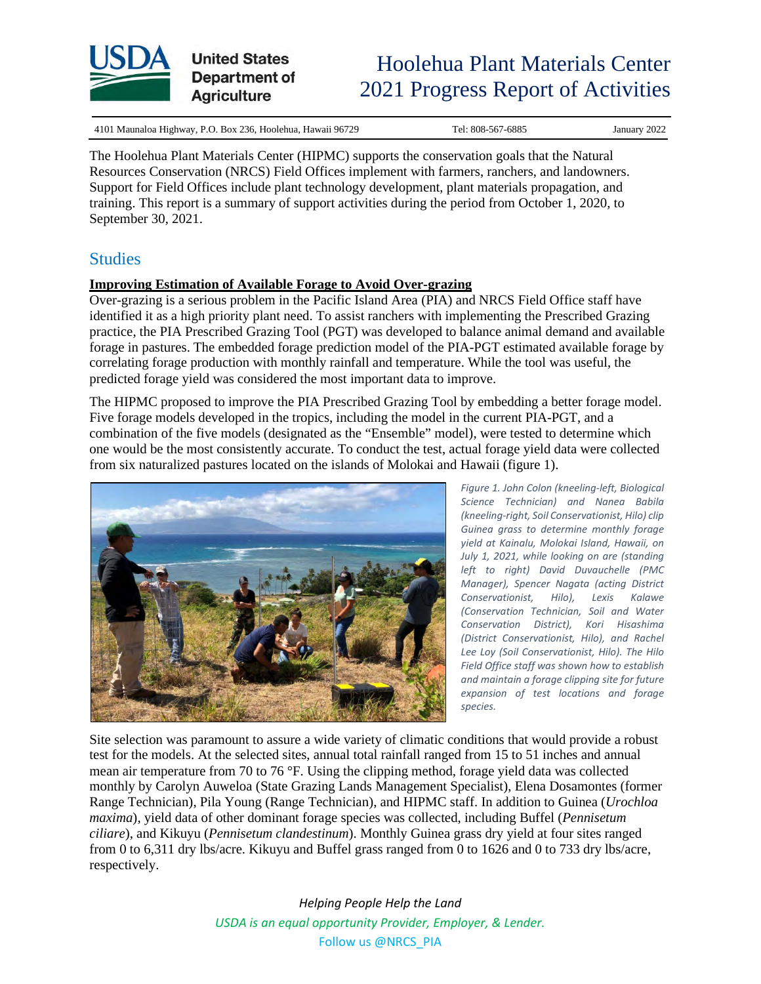

4101 Maunaloa Highway, P.O. Box 236, Hoolehua, Hawaii 96729 Tel: 808-567-6885 January 2022

The Hoolehua Plant Materials Center (HIPMC) supports the conservation goals that the Natural Resources Conservation (NRCS) Field Offices implement with farmers, ranchers, and landowners. Support for Field Offices include plant technology development, plant materials propagation, and training. This report is a summary of support activities during the period from October 1, 2020, to September 30, 2021.

## **Studies**

### **Improving Estimation of Available Forage to Avoid Over-grazing**

Over-grazing is a serious problem in the Pacific Island Area (PIA) and NRCS Field Office staff have identified it as a high priority plant need. To assist ranchers with implementing the Prescribed Grazing practice, the PIA Prescribed Grazing Tool (PGT) was developed to balance animal demand and available forage in pastures. The embedded forage prediction model of the PIA-PGT estimated available forage by correlating forage production with monthly rainfall and temperature. While the tool was useful, the predicted forage yield was considered the most important data to improve.

The HIPMC proposed to improve the PIA Prescribed Grazing Tool by embedding a better forage model. Five forage models developed in the tropics, including the model in the current PIA-PGT, and a combination of the five models (designated as the "Ensemble" model), were tested to determine which one would be the most consistently accurate. To conduct the test, actual forage yield data were collected from six naturalized pastures located on the islands of Molokai and Hawaii (figure 1).



*Figure 1. John Colon (kneeling-left, Biological Science Technician) and Nanea Babila (kneeling-right, Soil Conservationist, Hilo) clip Guinea grass to determine monthly forage yield at Kainalu, Molokai Island, Hawaii, on July 1, 2021, while looking on are (standing left to right) David Duvauchelle (PMC Manager), Spencer Nagata (acting District Conservationist, Hilo), Lexis Kalawe (Conservation Technician, Soil and Water Conservation District), Kori Hisashima (District Conservationist, Hilo), and Rachel Lee Loy (Soil Conservationist, Hilo). The Hilo Field Office staff was shown how to establish and maintain a forage clipping site for future expansion of test locations and forage species.*

Site selection was paramount to assure a wide variety of climatic conditions that would provide a robust test for the models. At the selected sites, annual total rainfall ranged from 15 to 51 inches and annual mean air temperature from 70 to 76 °F. Using the clipping method, forage yield data was collected monthly by Carolyn Auweloa (State Grazing Lands Management Specialist), Elena Dosamontes (former Range Technician), Pila Young (Range Technician), and HIPMC staff. In addition to Guinea (*Urochloa maxima*), yield data of other dominant forage species was collected, including Buffel (*Pennisetum ciliare*), and Kikuyu (*Pennisetum clandestinum*). Monthly Guinea grass dry yield at four sites ranged from 0 to 6,311 dry lbs/acre. Kikuyu and Buffel grass ranged from 0 to 1626 and 0 to 733 dry lbs/acre, respectively.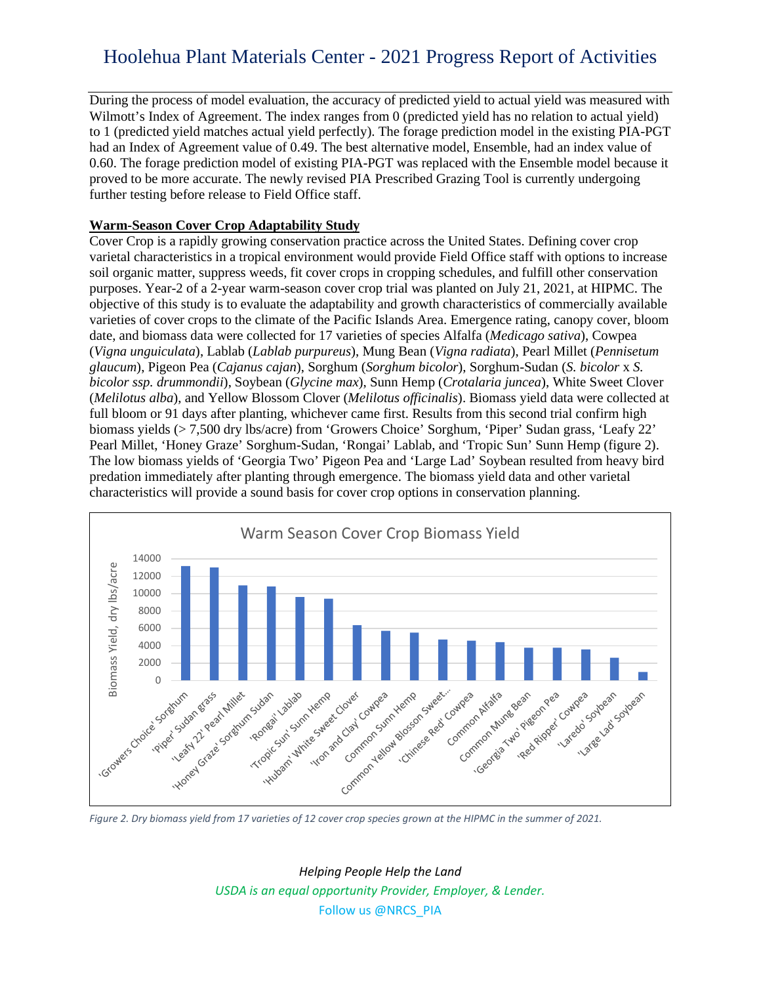During the process of model evaluation, the accuracy of predicted yield to actual yield was measured with Wilmott's Index of Agreement. The index ranges from 0 (predicted yield has no relation to actual yield) to 1 (predicted yield matches actual yield perfectly). The forage prediction model in the existing PIA-PGT had an Index of Agreement value of 0.49. The best alternative model, Ensemble, had an index value of 0.60. The forage prediction model of existing PIA-PGT was replaced with the Ensemble model because it proved to be more accurate. The newly revised PIA Prescribed Grazing Tool is currently undergoing further testing before release to Field Office staff.

### **Warm-Season Cover Crop Adaptability Study**

Cover Crop is a rapidly growing conservation practice across the United States. Defining cover crop varietal characteristics in a tropical environment would provide Field Office staff with options to increase soil organic matter, suppress weeds, fit cover crops in cropping schedules, and fulfill other conservation purposes. Year-2 of a 2-year warm-season cover crop trial was planted on July 21, 2021, at HIPMC. The objective of this study is to evaluate the adaptability and growth characteristics of commercially available varieties of cover crops to the climate of the Pacific Islands Area. Emergence rating, canopy cover, bloom date, and biomass data were collected for 17 varieties of species Alfalfa (*Medicago sativa*), Cowpea (*Vigna unguiculata*), Lablab (*Lablab purpureus*), Mung Bean (*Vigna radiata*), Pearl Millet (*Pennisetum glaucum*), Pigeon Pea (*Cajanus cajan*), Sorghum (*Sorghum bicolor*), Sorghum-Sudan (*S. bicolor* x *S. bicolor ssp. drummondii*), Soybean (*Glycine max*), Sunn Hemp (*Crotalaria juncea*), White Sweet Clover (*Melilotus alba*), and Yellow Blossom Clover (*Melilotus officinalis*). Biomass yield data were collected at full bloom or 91 days after planting, whichever came first. Results from this second trial confirm high biomass yields (> 7,500 dry lbs/acre) from 'Growers Choice' Sorghum, 'Piper' Sudan grass, 'Leafy 22' Pearl Millet, 'Honey Graze' Sorghum-Sudan, 'Rongai' Lablab, and 'Tropic Sun' Sunn Hemp (figure 2). The low biomass yields of 'Georgia Two' Pigeon Pea and 'Large Lad' Soybean resulted from heavy bird predation immediately after planting through emergence. The biomass yield data and other varietal characteristics will provide a sound basis for cover crop options in conservation planning.



*Figure 2. Dry biomass yield from 17 varieties of 12 cover crop species grown at the HIPMC in the summer of 2021.*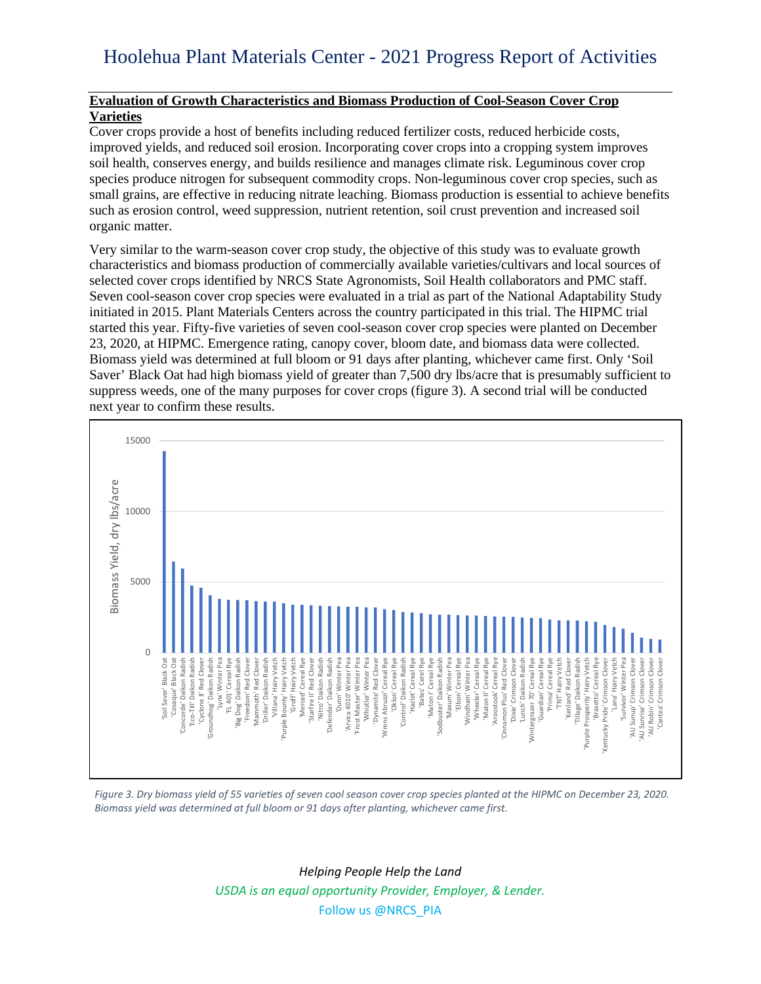### **Evaluation of Growth Characteristics and Biomass Production of Cool-Season Cover Crop Varieties**

Cover crops provide a host of benefits including reduced fertilizer costs, reduced herbicide costs, improved yields, and reduced soil erosion. Incorporating cover crops into a cropping system improves soil health, conserves energy, and builds resilience and manages climate risk. Leguminous cover crop species produce nitrogen for subsequent commodity crops. Non-leguminous cover crop species, such as small grains, are effective in reducing nitrate leaching. Biomass production is essential to achieve benefits such as erosion control, weed suppression, nutrient retention, soil crust prevention and increased soil organic matter.

Very similar to the warm-season cover crop study, the objective of this study was to evaluate growth characteristics and biomass production of commercially available varieties/cultivars and local sources of selected cover crops identified by NRCS State Agronomists, Soil Health collaborators and PMC staff. Seven cool-season cover crop species were evaluated in a trial as part of the National Adaptability Study initiated in 2015. Plant Materials Centers across the country participated in this trial. The HIPMC trial started this year. Fifty-five varieties of seven cool-season cover crop species were planted on December 23, 2020, at HIPMC. Emergence rating, canopy cover, bloom date, and biomass data were collected. Biomass yield was determined at full bloom or 91 days after planting, whichever came first. Only 'Soil Saver' Black Oat had high biomass yield of greater than 7,500 dry lbs/acre that is presumably sufficient to suppress weeds, one of the many purposes for cover crops (figure 3). A second trial will be conducted next year to confirm these results.



*Figure 3. Dry biomass yield of 55 varieties of seven cool season cover crop species planted at the HIPMC on December 23, 2020. Biomass yield was determined at full bloom or 91 days after planting, whichever came first.*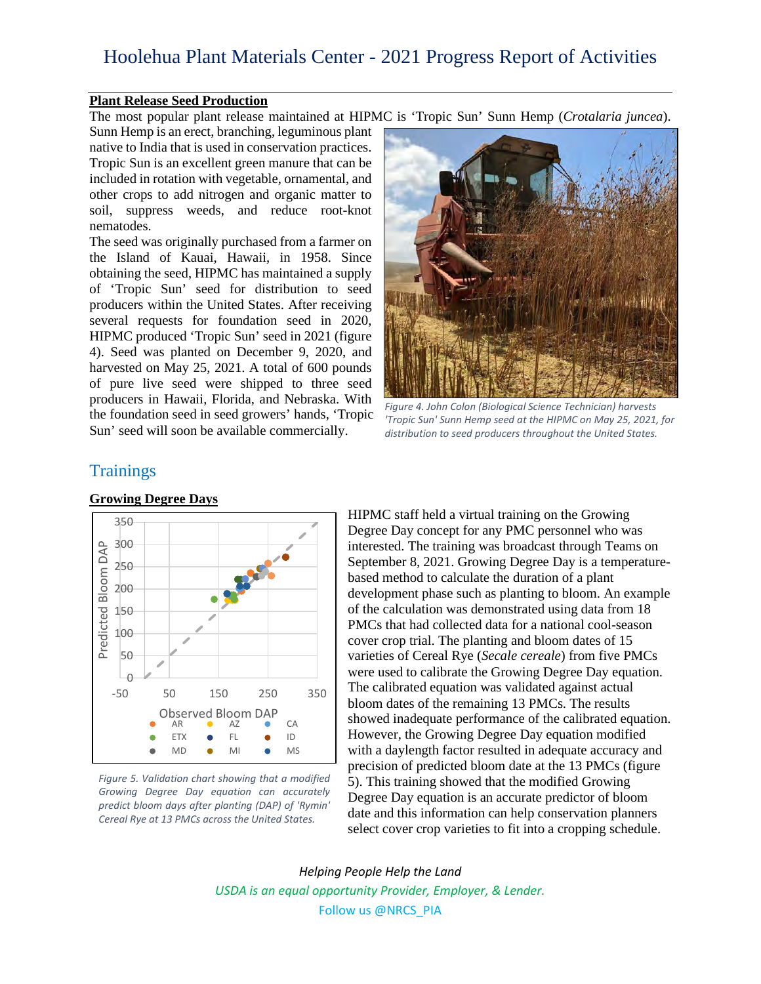#### **Plant Release Seed Production**

The most popular plant release maintained at HIPMC is 'Tropic Sun' Sunn Hemp (*Crotalaria juncea*).

Sunn Hemp is an erect, branching, leguminous plant native to India that is used in conservation practices. Tropic Sun is an excellent green manure that can be included in rotation with vegetable, ornamental, and other crops to add nitrogen and organic matter to soil, suppress weeds, and reduce root-knot nematodes.

The seed was originally purchased from a farmer on the Island of Kauai, Hawaii, in 1958. Since obtaining the seed, HIPMC has maintained a supply of 'Tropic Sun' seed for distribution to seed producers within the United States. After receiving several requests for foundation seed in 2020, HIPMC produced 'Tropic Sun' seed in 2021 (figure 4). Seed was planted on December 9, 2020, and harvested on May 25, 2021. A total of 600 pounds of pure live seed were shipped to three seed producers in Hawaii, Florida, and Nebraska. With the foundation seed in seed growers' hands, 'Tropic Sun' seed will soon be available commercially.



*Figure 4. John Colon (Biological Science Technician) harvests 'Tropic Sun' Sunn Hemp seed at the HIPMC on May 25, 2021, for distribution to seed producers throughout the United States.*

## **Trainings**



#### **Growing Degree Days**

*Figure 5. Validation chart showing that a modified Growing Degree Day equation can accurately predict bloom days after planting (DAP) of 'Rymin' Cereal Rye at 13 PMCs across the United States.*

HIPMC staff held a virtual training on the Growing Degree Day concept for any PMC personnel who was interested. The training was broadcast through Teams on September 8, 2021. Growing Degree Day is a temperaturebased method to calculate the duration of a plant development phase such as planting to bloom. An example of the calculation was demonstrated using data from 18 PMCs that had collected data for a national cool-season cover crop trial. The planting and bloom dates of 15 varieties of Cereal Rye (*Secale cereale*) from five PMCs were used to calibrate the Growing Degree Day equation. The calibrated equation was validated against actual bloom dates of the remaining 13 PMCs. The results showed inadequate performance of the calibrated equation. However, the Growing Degree Day equation modified with a daylength factor resulted in adequate accuracy and precision of predicted bloom date at the 13 PMCs (figure 5). This training showed that the modified Growing Degree Day equation is an accurate predictor of bloom date and this information can help conservation planners select cover crop varieties to fit into a cropping schedule.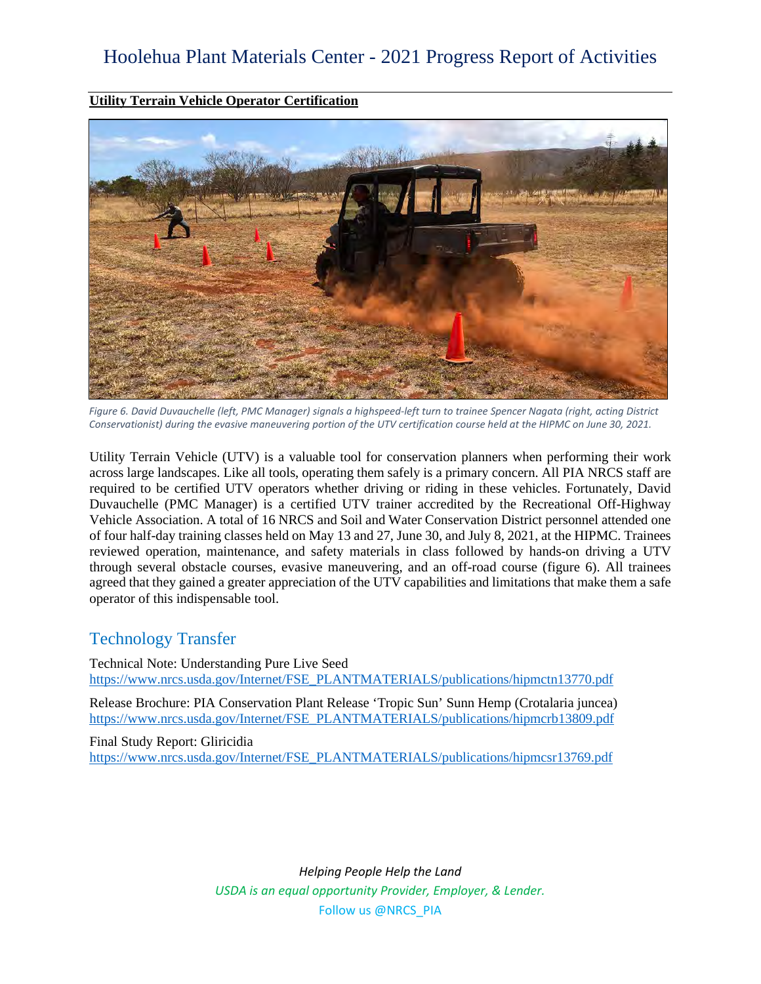**Utility Terrain Vehicle Operator Certification**



*Figure 6. David Duvauchelle (left, PMC Manager) signals a highspeed-left turn to trainee Spencer Nagata (right, acting District Conservationist) during the evasive maneuvering portion of the UTV certification course held at the HIPMC on June 30, 2021.*

Utility Terrain Vehicle (UTV) is a valuable tool for conservation planners when performing their work across large landscapes. Like all tools, operating them safely is a primary concern. All PIA NRCS staff are required to be certified UTV operators whether driving or riding in these vehicles. Fortunately, David Duvauchelle (PMC Manager) is a certified UTV trainer accredited by the Recreational Off-Highway Vehicle Association. A total of 16 NRCS and Soil and Water Conservation District personnel attended one of four half-day training classes held on May 13 and 27, June 30, and July 8, 2021, at the HIPMC. Trainees reviewed operation, maintenance, and safety materials in class followed by hands-on driving a UTV through several obstacle courses, evasive maneuvering, and an off-road course (figure 6). All trainees agreed that they gained a greater appreciation of the UTV capabilities and limitations that make them a safe operator of this indispensable tool.

# Technology Transfer

Technical Note: Understanding Pure Live Seed [https://www.nrcs.usda.gov/Internet/FSE\\_PLANTMATERIALS/publications/hipmctn13770.pdf](https://www.nrcs.usda.gov/Internet/FSE_PLANTMATERIALS/publications/hipmctn13770.pdf) 

Release Brochure: PIA Conservation Plant Release 'Tropic Sun' Sunn Hemp (Crotalaria juncea) [https://www.nrcs.usda.gov/Internet/FSE\\_PLANTMATERIALS/publications/hipmcrb13809.pdf](https://www.nrcs.usda.gov/Internet/FSE_PLANTMATERIALS/publications/hipmcrb13809.pdf)

Final Study Report: Gliricidia [https://www.nrcs.usda.gov/Internet/FSE\\_PLANTMATERIALS/publications/hipmcsr13769.pdf](https://www.nrcs.usda.gov/Internet/FSE_PLANTMATERIALS/publications/hipmcsr13769.pdf)